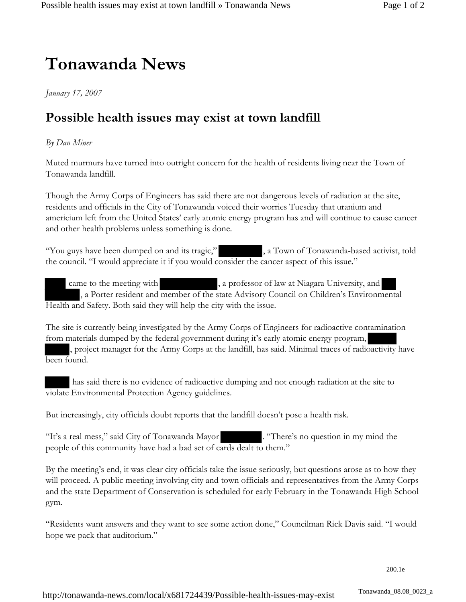## **Tonawanda News**

*January 17, 2007*

## **Possible health issues may exist at town landfill**

## *By Dan Miner*

Muted murmurs have turned into outright concern for the health of residents living near the Town of Tonawanda landfill.

Though the Army Corps of Engineers has said there are not dangerous levels of radiation at the site, residents and officials in the City of Tonawanda voiced their worries Tuesday that uranium and americium left from the United States' early atomic energy program has and will continue to cause cancer and other health problems unless something is done.

"You guys have been dumped on and its tragic," , a Town of Tonawanda-based activist, told the council. "I would appreciate it if you would consider the cancer aspect of this issue."

came to the meeting with , a professor of law at Niagara University, and , a Porter resident and member of the state Advisory Council on Children's Environmental Health and Safety. Both said they will help the city with the issue.

The site is currently being investigated by the Army Corps of Engineers for radioactive contamination from materials dumped by the federal government during it's early atomic energy program, , project manager for the Army Corps at the landfill, has said. Minimal traces of radioactivity have been found.

 has said there is no evidence of radioactive dumping and not enough radiation at the site to violate Environmental Protection Agency guidelines.

But increasingly, city officials doubt reports that the landfill doesn't pose a health risk.

"It's a real mess," said City of Tonawanda Mayor . "There's no question in my mind the people of this community have had a bad set of cards dealt to them."

By the meeting's end, it was clear city officials take the issue seriously, but questions arose as to how they will proceed. A public meeting involving city and town officials and representatives from the Army Corps and the state Department of Conservation is scheduled for early February in the Tonawanda High School gym.

"Residents want answers and they want to see some action done," Councilman Rick Davis said. "I would hope we pack that auditorium."

200.1e